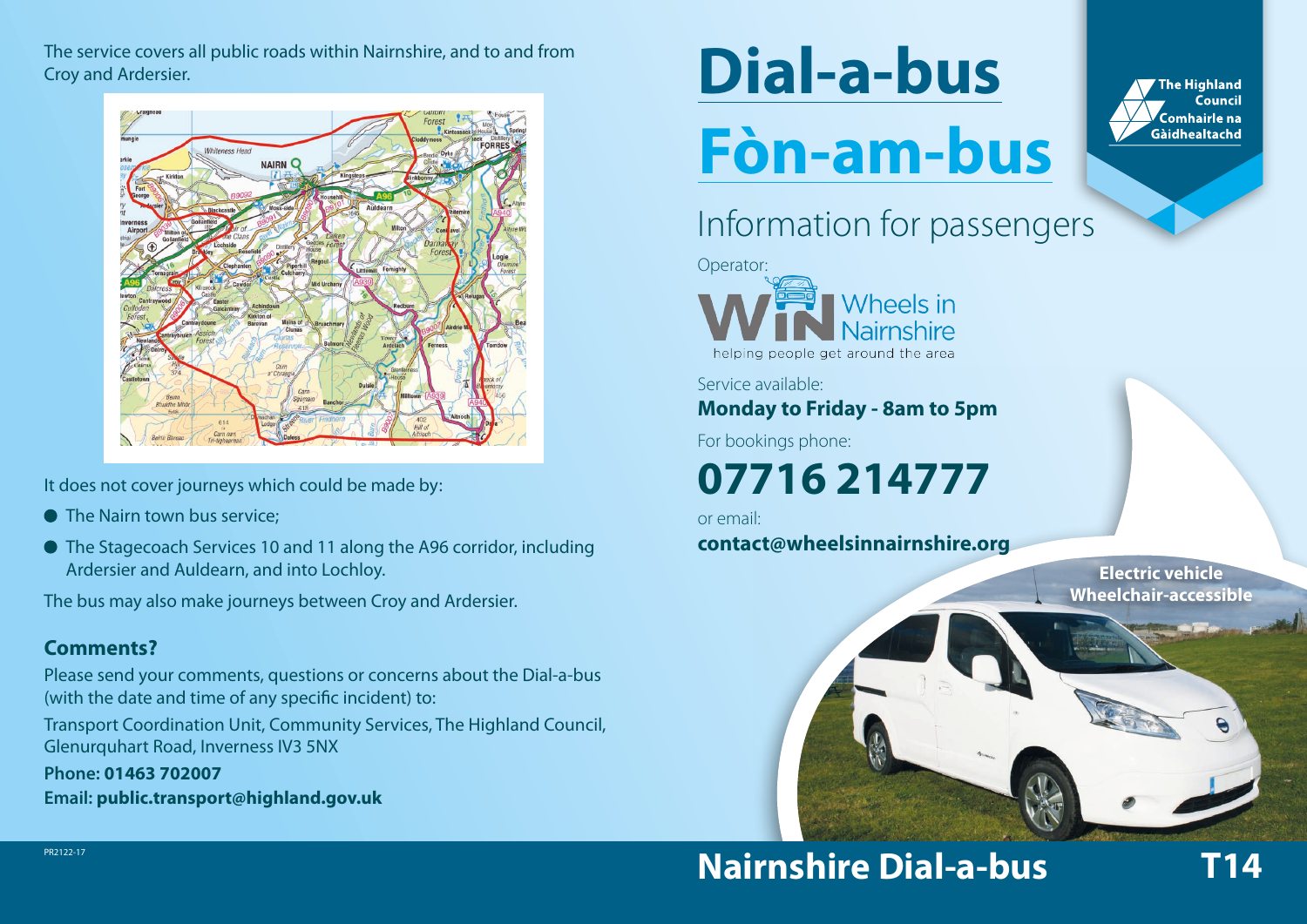The service covers all public roads within Nairnshire, and to and from Croy and Ardersier.



It does not cover journeys which could be made by:

- The Nairn town bus service:
- The Stagecoach Services 10 and 11 along the A96 corridor, including Ardersier and Auldearn, and into Lochloy.

The bus may also make journeys between Croy and Ardersier.

#### **Comments?**

Please send your comments, questions or concerns about the Dial-a-bus (with the date and time of any specific incident) to:

Transport Coordination Unit, Community Services, The Highland Council, Glenurquhart Road, Inverness IV3 5NX

**Phone: 01463 702007**

**Email: public.transport@highland.gov.uk**

# **Dial-a-bus Fòn-am-bus**

#### **The Highland** Council .<br>Comhairle na Gàidhealtachd

# Information for passengers



Service available:

**Monday to Friday - 8am to 5pm**

For bookings phone:

# **07716 214777**

or email:

**contact@wheelsinnairnshire.org**

**Electric vehicle Wheelchair-accessible**



## **Nairnshire Dial-a-bus T14**

PR2122-17